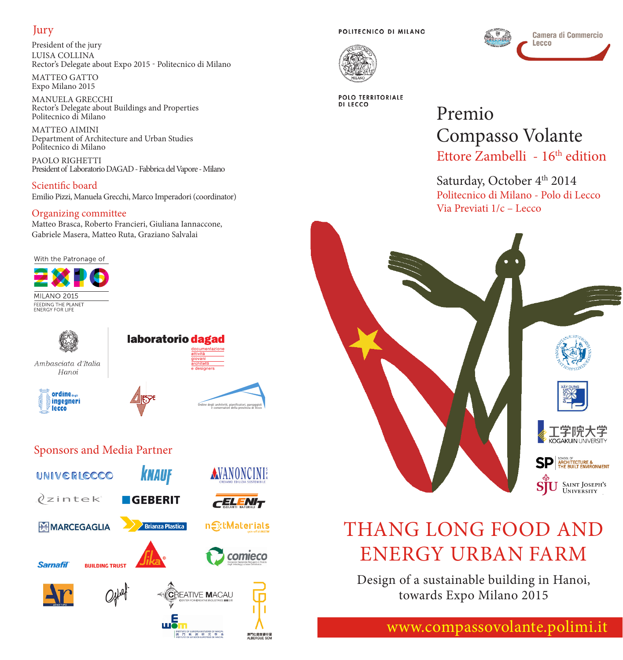#### Jury

President of the jury LUISA COLLINA Rector's Delegate about Expo 2015 - Politecnico di Milano

MATTEO GATTO Expo Milano 2015

MANUELA GRECCHI Rector's Delegate about Buildings and Properties Politecnico di Milano

MATTEO AIMINI Department of Architecture and Urban Studies Politecnico di Milano

PAOLO RIGHETTI President of Laboratorio DAGAD - Fabbrica del Vapore - Milano

Scientific board Emilio Pizzi, Manuela Grecchi, Marco Imperadori (coordinator)

#### Organizing committee

Matteo Brasca, Roberto Francieri, Giuliana Iannaccone, Gabriele Masera, Matteo Ruta, Graziano Salvalai

With the Patronage of



Ambasciata d'Italia Hanoi





laboratorio dagad

Ordine degli architetti, pianificatori, paesaggisti e conservatori della provincia di lecco

澳門仁慈堂婆仔長<br>ALBERCUE SCN







**POLO TERRITORIALE DI LECCO** 

## Premio Compasso Volante Ettore Zambelli - 16<sup>th</sup> edition

Saturday, October 4<sup>th</sup> 2014 Politecnico di Milano - Polo di Lecco Via Previati 1/c – Lecco



# THANG LONG FOOD AND ENERGY URBAN FARM

Design of a sustainable building in Hanoi, towards Expo Milano 2015

www.compassovolante.polimi.it